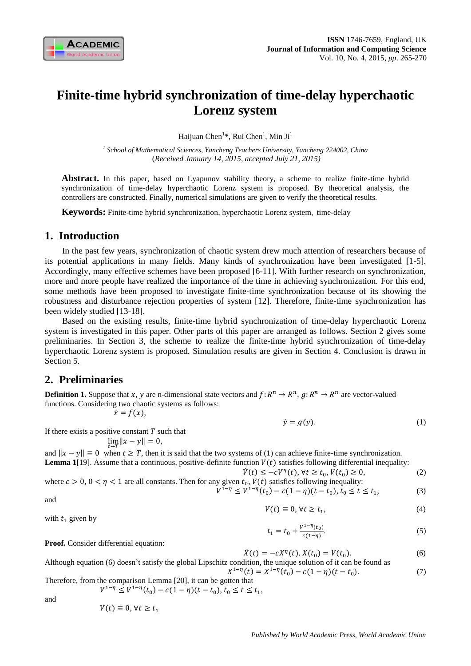

# **Finite-time hybrid synchronization of time-delay hyperchaotic Lorenz system**

Haijuan Chen<sup>1</sup>\*, Rui Chen<sup>1</sup>, Min Ji<sup>1</sup>

*1 School of Mathematical Sciences, Yancheng Teachers University, Yancheng 224002, China* (*Received January 14, 2015, accepted July 21, 2015)*

**Abstract.** In this paper, based on Lyapunov stability theory, a scheme to realize finite-time hybrid synchronization of time-delay hyperchaotic Lorenz system is proposed. By theoretical analysis, the controllers are constructed. Finally, numerical simulations are given to verify the theoretical results.

**Keywords:** Finite-time hybrid synchronization, hyperchaotic Lorenz system, time-delay

## **1. Introduction**

In the past few years, synchronization of chaotic system drew much attention of researchers because of its potential applications in many fields. Many kinds of synchronization have been investigated [1-5]. Accordingly, many effective schemes have been proposed [6-11]. With further research on synchronization, more and more people have realized the importance of the time in achieving synchronization. For this end, some methods have been proposed to investigate finite-time synchronization because of its showing the robustness and disturbance rejection properties of system [12]. Therefore, finite-time synchronization has been widely studied [13-18].

Based on the existing results, finite-time hybrid synchronization of time-delay hyperchaotic Lorenz system is investigated in this paper. Other parts of this paper are arranged as follows. Section 2 gives some preliminaries. In Section 3, the scheme to realize the finite-time hybrid synchronization of time-delay hyperchaotic Lorenz system is proposed. Simulation results are given in Section 4. Conclusion is drawn in Section 5.

# **2. Preliminaries**

**Definition 1.** Suppose that x, y are n-dimensional state vectors and  $f: R^n \to R^n$ ,  $g: R^n \to R^n$  are vector-valued functions. Considering two chaotic systems as follows:

$$
\dot{x}=f(x),
$$

$$
\dot{y} = g(y). \tag{1}
$$

If there exists a positive constant  $T$  such that

$$
\lim_{x \to \infty} \|x - y\| = 0,
$$

and  $||x - y|| \equiv 0$  when  $t \geq T$ , then it is said that the two systems of (1) can achieve finite-time synchronization. **Lemma 1**[19]. Assume that a continuous, positive-definite function  $V(t)$  satisfies following differential inequality:

$$
\dot{V}(t) \le -cV^{\eta}(t), \forall t \ge t_0, V(t_0) \ge 0,
$$
\n<sup>(2)</sup>

where 
$$
c > 0
$$
,  $0 < \eta < 1$  are all constants. Then for any given  $t_0$ ,  $V(t)$  satisfies following inequality:  $V^{1-\eta} \leq V^{1-\eta}(t_0) - c(1-\eta)(t-t_0)$ ,  $t_0 \leq t \leq t_1$ ,  $(3)$ 

and

$$
V(t) \equiv 0, \forall t \ge t_1,\tag{4}
$$

with  $t_1$  given by

$$
t_1 = t_0 + \frac{v^{1-\eta}(t_0)}{c(1-\eta)}.
$$
\n<sup>(5)</sup>

**Proof.** Consider differential equation:

$$
\dot{X}(t) = -cX^{\eta}(t), X(t_0) = V(t_0).
$$
\n(6)

Although equation (6) doesn't satisfy the global Lipschitz condition, the unique solution of it can be found as  $X^{1-\eta}(t) = X^{1-\eta}(t_0) - c(1-\eta)(t-t_0).$  (7)

Therefore, from the comparison Lemma 
$$
[20]
$$
, it can be gotten that

 $V^{1-\eta} \leq V^{1-\eta}(t_0) - c(1-\eta)(t-t_0), t_0 \leq t \leq t_1,$ 

and

 $V(t) \equiv 0, \forall t \geq t_1$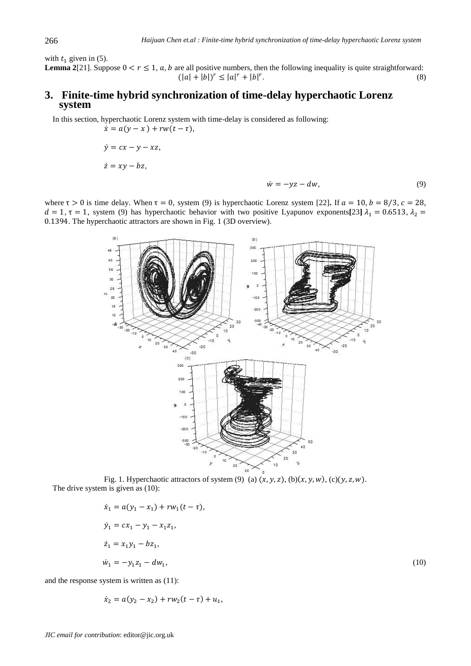with  $t_1$  given in (5).

**Lemma 2**[21]. Suppose  $0 < r \le 1$ , a, b are all positive numbers, then the following inequality is quite straightforward:  $(|a| + |b|)^r \leq |a|^r + |b|^r$ .  $(8)$ 

# **3. Finite-time hybrid synchronization of time-delay hyperchaotic Lorenz system**

In this section, hyperchaotic Lorenz system with time-delay is considered as following:  $\dot{x} = a(y - x) + rw(t - \tau),$ 

> $\dot{y} = cx - y - xz,$  $\dot{z} = xy - bz,$

$$
\dot{w} = -yz - dw,\tag{9}
$$

where  $\tau > 0$  is time delay. When  $\tau = 0$ , system (9) is hyperchaotic Lorenz system [22]. If  $a = 10$ ,  $b = 8/3$ ,  $c = 28$ ,  $d = 1$ ,  $\tau = 1$ , system (9) has hyperchaotic behavior with two positive Lyapunov exponents[23]  $\lambda_1 = 0.6513$ ,  $\lambda_2 =$ 0.1394. The hyperchaotic attractors are shown in Fig. 1 (3D overview).



Fig. 1. Hyperchaotic attractors of system (9) (a)  $(x, y, z)$ , (b) $(x, y, w)$ , (c) $(y, z, w)$ . The drive system is given as  $(10)$ :

$$
\dot{x}_1 = a(y_1 - x_1) + rw_1(t - \tau),
$$
  
\n
$$
\dot{y}_1 = cx_1 - y_1 - x_1z_1,
$$
  
\n
$$
\dot{z}_1 = x_1y_1 - bz_1,
$$
  
\n
$$
\dot{w}_1 = -y_1z_1 - dw_1,
$$
  
\n(10)

and the response system is written as (11):

$$
\dot{x}_2 = a(y_2 - x_2) + rw_2(t - \tau) + u_1,
$$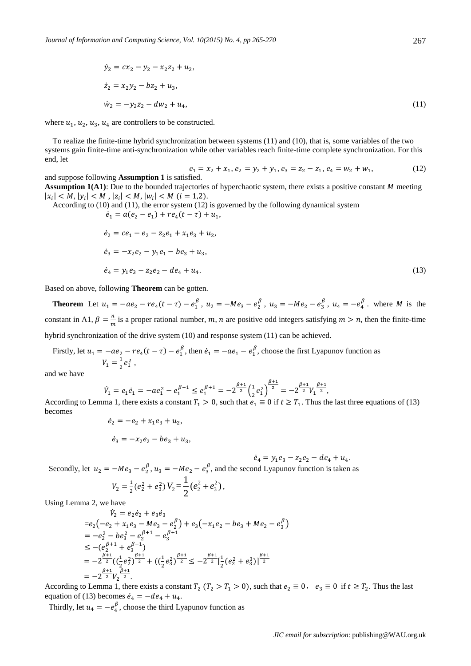$$
\dot{y}_2 = cx_2 - y_2 - x_2 z_2 + u_2,
$$
  
\n
$$
\dot{z}_2 = x_2 y_2 - b z_2 + u_3,
$$
  
\n
$$
\dot{w}_2 = -y_2 z_2 - d w_2 + u_4,
$$
\n(11)

where  $u_1, u_2, u_3, u_4$  are controllers to be constructed.

To realize the finite-time hybrid synchronization between systems (11) and (10), that is, some variables of the two systems gain finite-time anti-synchronization while other variables reach finite-time complete synchronization. For this end, let

$$
e_1 = x_2 + x_1, e_2 = y_2 + y_1, e_3 = z_2 - z_1, e_4 = w_2 + w_1,
$$
\n(12)

and suppose following **Assumption 1** is satisfied. **Assumption 1(A1)**: Due to the bounded trajectories of hyperchaotic system, there exists a positive constant M meeting  $|x_i| < M, |y_i| < M, |z_i| < M, |w_i| < M$  (i = 1,2).

According to (10) and (11), the error system (12) is governed by the following dynamical system  $\dot{e}_1 = a(e_2 - e_1) + re_4(t - \tau) + u_1,$ 

$$
\dot{e}_2 = ce_1 - e_2 - z_2e_1 + x_1e_3 + u_2,
$$
  
\n
$$
\dot{e}_3 = -x_2e_2 - y_1e_1 - be_3 + u_3,
$$
  
\n
$$
\dot{e}_4 = y_1e_3 - z_2e_2 - de_4 + u_4.
$$
\n(13)

Based on above, following **Theorem** can be gotten.

**Theorem** Let  $u_1 = -ae_2 - re_4(t-\tau) - e_1^{\beta}$ ,  $u_2 = -Me_3 - e_2^{\beta}$ ,  $u_3 = -Me_2 - e_3^{\beta}$ ,  $u_4 = -e_4^{\beta}$ . where *M* is the constant in A1,  $\beta = \frac{n}{m}$  $\frac{n}{m}$  is a proper rational number, m, n are positive odd integers satisfying  $m > n$ , then the finite-time hybrid synchronization of the drive system (10) and response system (11) can be achieved.

Firstly, let  $u_1 = -ae_2 - re_4(t - \tau) - e_1^{\beta}$ , then  $\dot{e}_1 = -ae_1 - e_1^{\beta}$ , choose the first Lyapunov function as  $V_1 = \frac{1}{2}$  $\frac{1}{2}e_1^2$ ,

and we have

$$
\dot{V}_1 = e_1 \dot{e}_1 = -ae_1^2 - e_1^{\beta+1} \le e_1^{\beta+1} = -2^{\frac{\beta+1}{2}} \left(\frac{1}{2}e_1^2\right)^{\frac{\beta+1}{2}} = -2^{\frac{\beta+1}{2}} V_1^{\frac{\beta+1}{2}},
$$

According to Lemma 1, there exists a constant  $T_1 > 0$ , such that  $e_1 \equiv 0$  if  $t \ge T_1$ . Thus the last three equations of (13) becomes

$$
\dot{e}_2 = -e_2 + x_1 e_3 + u_2,
$$
  

$$
\dot{e}_3 = -x_2 e_2 - b e_3 + u_3,
$$

$$
\dot{e}_4 = y_1 e_3 - z_2 e_2 - d e_4 + u_4.
$$

Secondly, let  $u_2 = -Me_3 - e_2^{\beta}$ ,  $u_3 = -Me_2 - e_3^{\beta}$ , and the second Lyapunov function is taken as

$$
V_2 = \frac{1}{2}(e_2^2 + e_3^2)V_2 = \frac{1}{2}(e_2^2 + e_3^2),
$$

Using Lemma 2, we have

$$
\dot{V}_2 = e_2 \dot{e}_2 + e_3 \dot{e}_3
$$
\n
$$
= e_2(-e_2 + x_1 e_3 - Me_3 - e_2^{\beta}) + e_3(-x_1 e_2 - be_3 + Me_2 - e_3^{\beta})
$$
\n
$$
= -e_2^2 - be_3^2 - e_2^{\beta+1} - e_3^{\beta+1}
$$
\n
$$
\leq -(e_2^{\beta+1} + e_3^{\beta+1})
$$
\n
$$
= -2^{\frac{\beta+1}{2}} \left( (\frac{1}{2} e_2^2)^{\frac{\beta+1}{2}} + ((\frac{1}{2} e_3^2)^{\frac{\beta+1}{2}} \leq -2^{\frac{\beta+1}{2}} [\frac{1}{2} (e_2^2 + e_3^3)]^{\frac{\beta+1}{2}}
$$
\n
$$
= -2^{\frac{\beta+1}{2}} V_2^{\frac{\beta+1}{2}}.
$$

According to Lemma 1, there exists a constant  $T_2$  ( $T_2 > T_1 > 0$ ), such that  $e_2 \equiv 0$ ,  $e_3 \equiv 0$  if  $t \ge T_2$ . Thus the last equation of (13) becomes  $\dot{e}_4 = -de_4 + u_4$ .

Thirdly, let  $u_4 = -e_4^{\beta}$ , choose the third Lyapunov function as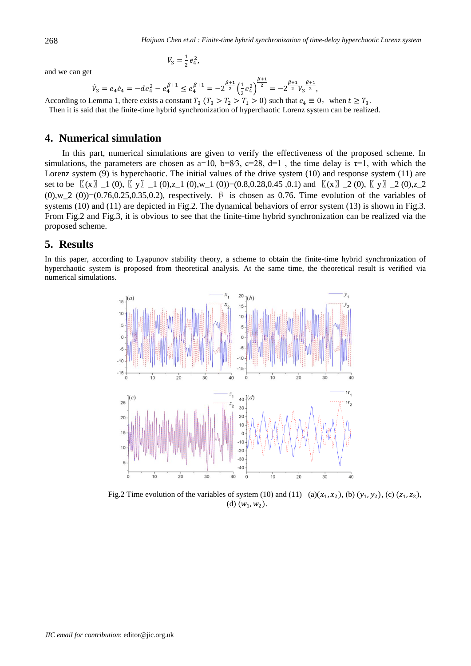and we can get

$$
V_3 = \frac{1}{2} e_4^2,
$$

$$
\dot{V}_3 = e_4 \dot{e}_4 = -de_4^2 - e_4^{\beta+1} \le e_4^{\beta+1} = -2^{\frac{\beta+1}{2}} \left(\frac{1}{2} e_4^2\right)^{\frac{\beta+1}{2}} = -2^{\frac{\beta+1}{2}} V_3^{\frac{\beta+1}{2}},
$$

According to Lemma 1, there exists a constant  $T_3$   $(T_3 > T_2 > T_1 > 0)$  such that  $e_4 \equiv 0$ , when  $t \ge T_3$ . Then it is said that the finite-time hybrid synchronization of hyperchaotic Lorenz system can be realized.

## **4. Numerical simulation**

In this part, numerical simulations are given to verify the effectiveness of the proposed scheme. In simulations, the parameters are chosen as a=10, b=8⁄3, c=28, d=1, the time delay is  $\tau=1$ , with which the Lorenz system (9) is hyperchaotic. The initial values of the drive system (10) and response system (11) are set to be  $\[(x)] \_1 (0), \[(y)] \_1 (0), z \_1 (0), w \_1 (0)) = (0.8, 0.28, 0.45, 0.1)$  and  $\[(x)] \_2 (0), \[(y)] \_2 (0), z \_2 (0), z \_1 (0), z \_1 (0), z \_1 (0), z \_1 (0), z \_1 (0), z \_1 (0), z \_1 (0), z \_1 (0), z \_1 (0), z \_1 (0), z \_1 (0), z \_1 (0), z \_1 (0), z \_1 (0), z \_1 (0), z \_1 (0), z \_1 (0),$  $(0)$ ,w\_2  $(0)$ )=(0.76,0.25,0.35,0.2), respectively.  $\beta$  is chosen as 0.76. Time evolution of the variables of systems (10) and (11) are depicted in Fig.2. The dynamical behaviors of error system (13) is shown in Fig.3. From Fig.2 and Fig.3, it is obvious to see that the finite-time hybrid synchronization can be realized via the proposed scheme.

#### **5. Results**

In this paper, according to Lyapunov stability theory, a scheme to obtain the finite-time hybrid synchronization of hyperchaotic system is proposed from theoretical analysis. At the same time, the theoretical result is verified via numerical simulations.



Fig.2 Time evolution of the variables of system (10) and (11) (a) $(x_1, x_2)$ , (b)  $(y_1, y_2)$ , (c)  $(z_1, z_2)$ , (d)  $(w_1, w_2)$ .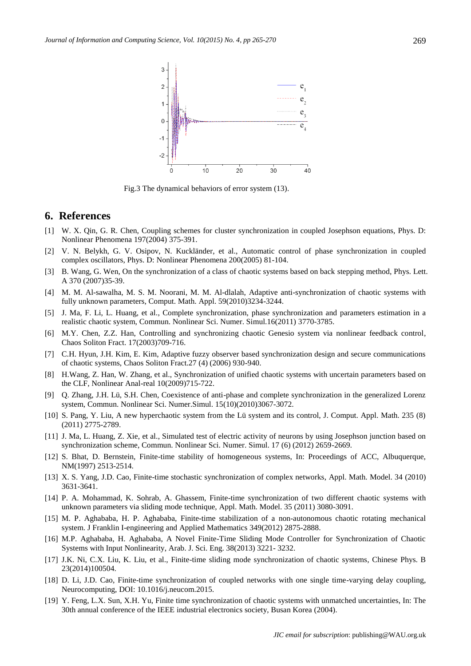

Fig.3 The dynamical behaviors of error system (13).

#### **6. References**

- [1] W. X. Qin, G. R. Chen, Coupling schemes for cluster synchronization in coupled Josephson equations, Phys. D: Nonlinear Phenomena 197(2004) 375-391.
- [2] V. N. Belykh, G. V. Osipov, N. Kuckländer, et al., Automatic control of phase synchronization in coupled complex oscillators, Phys. D: Nonlinear Phenomena 200(2005) 81-104.
- [3] B. Wang, G. Wen, On the synchronization of a class of chaotic systems based on back stepping method, Phys. Lett. A 370 (2007)35-39.
- [4] M. M. Al-sawalha, M. S. M. Noorani, M. M. Al-dlalah, Adaptive anti-synchronization of chaotic systems with fully unknown parameters, Comput. Math. Appl. 59(2010)3234-3244.
- [5] J. Ma, F. Li, L. Huang, et al., Complete synchronization, phase synchronization and parameters estimation in a realistic chaotic system, Commun. Nonlinear Sci. Numer. Simul.16(2011) 3770-3785.
- [6] M.Y. Chen, Z.Z. Han, Controlling and synchronizing chaotic Genesio system via nonlinear feedback control, Chaos Soliton Fract. 17(2003)709-716.
- [7] C.H. Hyun, J.H. Kim, E. Kim, Adaptive fuzzy observer based synchronization design and secure communications of chaotic systems, Chaos Soliton Fract.27 (4) (2006) 930-940.
- [8] H.Wang, Z. Han, W. Zhang, et al., Synchronization of unified chaotic systems with uncertain parameters based on the CLF, Nonlinear Anal-real 10(2009)715-722.
- [9] Q. Zhang, J.H. Lü, S.H. Chen, Coexistence of anti-phase and complete synchronization in the generalized Lorenz system, Commun. Nonlinear Sci. Numer.Simul. 15(10)(2010)3067-3072.
- [10] S. Pang, Y. Liu, A new hyperchaotic system from the Lü system and its control, J. Comput. Appl. Math. 235 (8) (2011) 2775-2789.
- [11] J. Ma, L. Huang, Z. Xie, et al., Simulated test of electric activity of neurons by using Josephson junction based on synchronization scheme, Commun. Nonlinear Sci. Numer. Simul. 17 (6) (2012) 2659-2669.
- [12] S. Bhat, D. Bernstein, Finite-time stability of homogeneous systems, In: Proceedings of ACC, Albuquerque, NM(1997) 2513-2514.
- [13] X. S. Yang, J.D. Cao, Finite-time stochastic synchronization of complex networks, Appl. Math. Model. 34 (2010) 3631-3641.
- [14] P. A. Mohammad, K. Sohrab, A. Ghassem, Finite-time synchronization of two different chaotic systems with unknown parameters via sliding mode technique, Appl. Math. Model. 35 (2011) 3080-3091.
- [15] M. P. Aghababa, H. P. Aghababa, Finite-time stabilization of a non-autonomous chaotic rotating mechanical system. J Franklin I-engineering and Applied Mathematics 349(2012) 2875-2888.
- [16] M.P. Aghababa, H. Aghababa, A Novel Finite-Time Sliding Mode Controller for Synchronization of Chaotic Systems with Input Nonlinearity, Arab. J. Sci. Eng. 38(2013) 3221- 3232.
- [17] J.K. Ni, C.X. Liu, K. Liu, et al., Finite-time sliding mode synchronization of chaotic systems, Chinese Phys. B 23(2014)100504.
- [18] D. Li, J.D. Cao, Finite-time synchronization of coupled networks with one single time-varying delay coupling, Neurocomputing, DOI: 10.1016/j.neucom.2015.
- [19] Y. Feng, L.X. Sun, X.H. Yu, Finite time synchronization of chaotic systems with unmatched uncertainties, In: The 30th annual conference of the IEEE industrial electronics society, Busan Korea (2004).